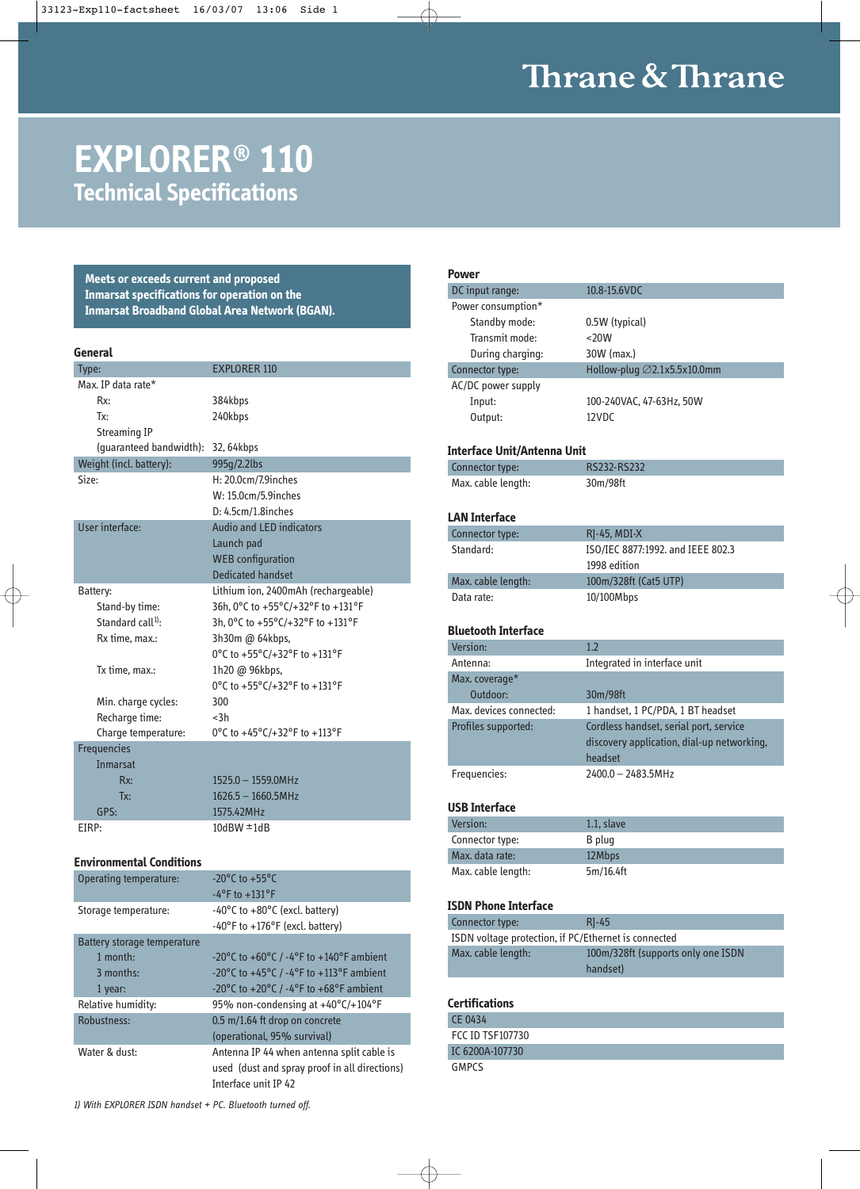# Thrane & Thrane

## **EXPLORER® 110 Technical Specifications**

**Meets or exceeds current and proposed Inmarsat specifications for operation on the Inmarsat Broadband Global Area Network (BGAN).**

| .,<br>۰.<br>×<br>.,<br>× |  |
|--------------------------|--|
|                          |  |

| Type:                   | <b>EXPLORER 110</b>                 |
|-------------------------|-------------------------------------|
| Max. IP data rate*      |                                     |
| Rx:                     | 384kbps                             |
| Tx:                     | 240kbps                             |
| Streaming IP            |                                     |
| (guaranteed bandwidth): | 32, 64kbps                          |
| Weight (incl. battery): | 995g/2.2lbs                         |
| Size:                   | H: 20.0cm/7.9inches                 |
|                         | W: 15.0cm/5.9inches                 |
|                         | $D: 4.5cm/1.8$ inches               |
| User interface:         | <b>Audio and LED indicators</b>     |
|                         | Launch pad                          |
|                         | <b>WEB</b> configuration            |
|                         | <b>Dedicated handset</b>            |
| Battery:                | Lithium ion, 2400mAh (rechargeable) |
| Stand-by time:          | 36h, 0°C to +55°C/+32°F to +131°F   |
| Standard $call1$ :      | 3h, 0°C to +55°C/+32°F to +131°F    |
| Rx time, max.:          | 3h30m @ 64kbps,                     |
|                         | 0°C to +55°C/+32°F to +131°F        |
| Tx time, max.:          | 1h20 @ 96kbps,                      |
|                         | 0°C to +55°C/+32°F to +131°F        |
| Min. charge cycles:     | 300                                 |
| Recharge time:          | $3h$                                |
| Charge temperature:     | 0°C to +45°C/+32°F to +113°F        |
| <b>Frequencies</b>      |                                     |
| <b>Inmarsat</b>         |                                     |
| Rx:                     | 1525.0 - 1559.0MHz                  |
| Tx:                     | $1626.5 - 1660.5$ MHz               |
| GPS:                    | 1575.42MHz                          |
| EIRP:                   | $10$ dBW $\pm 1$ dB                 |
|                         |                                     |

#### **Environmental Conditions**

| Operating temperature:      | $-20^{\circ}$ C to $+55^{\circ}$ C                                                 |
|-----------------------------|------------------------------------------------------------------------------------|
|                             | $-4$ <sup>o</sup> F to $+131$ <sup>o</sup> F                                       |
| Storage temperature:        | -40 $\degree$ C to +80 $\degree$ C (excl. battery)                                 |
|                             | $-40^{\circ}$ F to $+176^{\circ}$ F (excl. battery)                                |
| Battery storage temperature |                                                                                    |
| 1 month:                    | -20°C to +60°C / -4°F to +140°F ambient                                            |
| 3 months:                   | -20°C to +45°C / -4°F to +113°F ambient                                            |
| 1 year:                     | -20 $^{\circ}$ C to +20 $^{\circ}$ C / -4 $^{\circ}$ F to +68 $^{\circ}$ F ambient |
| Relative humidity:          | 95% non-condensing at +40°C/+104°F                                                 |
| Robustness:                 | 0.5 m/1.64 ft drop on concrete                                                     |
|                             | (operational, 95% survival)                                                        |
| Water & dust:               | Antenna IP 44 when antenna split cable is                                          |
|                             | used (dust and spray proof in all directions)                                      |
|                             | Interface unit IP 42                                                               |

**Power** DC input range: 10.8-15.6VDC Power consumption\* Standby mode: 0.5W (typical) Transmit mode: <20W During charging: 30W (max.) Connector type: Hollow-plug ∅2.1x5.5x10.0mm AC/DC power supply Input: 100-240VAC, 47-63Hz, 50W Output: 12VDC **Interface Unit/Antenna Unit**  Connector type: RS232-RS232 Max. cable length: 30m/98ft **LAN Interface** Connector type: RJ-45, MDI-X Standard: ISO/IEC 8877:1992. and IEEE 802.3 1998 edition Max. cable length: 100m/328ft (Cat5 UTP) Data rate: 10/100Mbps **Bluetooth Interface** Version: 1.2 Antenna: Integrated in interface unit Max. coverage\* Outdoor: 30m/98ft Max. devices connected: 1 handset, 1 PC/PDA, 1 BT headset Profiles supported: Cordless handset, serial port, service discovery application, dial-up networking, headset Frequencies: 2400.0 – 2483.5MHz **USB Interface**  Version: 1.1, slave Connector type: B plug Max. data rate: 12Mbps Max. cable length: 5m/16.4ft **ISDN Phone Interface** Connector type: RJ-45 ISDN voltage protection, if PC/Ethernet is connected Max. cable length: 100m/328ft (supports only one ISDN handset) **Certifications** CE 0434 FCC ID TSF107730 IC 6200A-107730 GMPCS